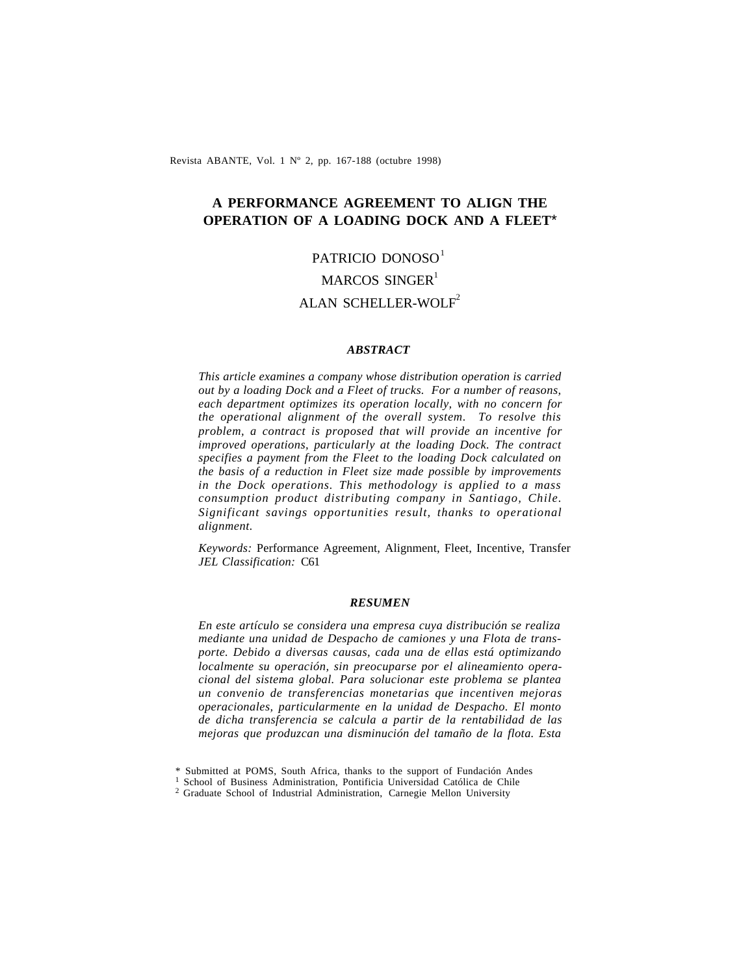Revista ABANTE, Vol. 1 Nº 2, pp. 167-188 (octubre 1998)

## **A PERFORMANCE AGREEMENT TO ALIGN THE OPERATION OF A LOADING DOCK AND A FLEET**\*

# PATRICIO DONOSO<sup>1</sup> MARCOS SINGER $1$ ALAN SCHELLER-WOLF<sup>2</sup>

#### *ABSTRACT*

*This article examines a company whose distribution operation is carried out by a loading Dock and a Fleet of trucks. For a number of reasons, each department optimizes its operation locally, with no concern for the operational alignment of the overall system. To resolve this problem, a contract is proposed that will provide an incentive for improved operations, particularly at the loading Dock. The contract specifies a payment from the Fleet to the loading Dock calculated on the basis of a reduction in Fleet size made possible by improvements in the Dock operations. This methodology is applied to a mass consumption product distributing company in Santiago, Chile. Significant savings opportunities result, thanks to operational alignment.*

*Keywords:* Performance Agreement, Alignment, Fleet, Incentive, Transfer *JEL Classification:* C61

#### *RESUMEN*

*En este artículo se considera una empresa cuya distribución se realiza mediante una unidad de Despacho de camiones y una Flota de transporte. Debido a diversas causas, cada una de ellas está optimizando localmente su operación, sin preocuparse por el alineamiento operacional del sistema global. Para solucionar este problema se plantea un convenio de transferencias monetarias que incentiven mejoras operacionales, particularmente en la unidad de Despacho. El monto de dicha transferencia se calcula a partir de la rentabilidad de las mejoras que produzcan una disminución del tamaño de la flota. Esta*

<sup>\*</sup> Submitted at POMS, South Africa, thanks to the support of Fundación Andes

<sup>&</sup>lt;sup>1</sup> School of Business Administration, Pontificia Universidad Católica de Chile

<sup>&</sup>lt;sup>2</sup> Graduate School of Industrial Administration, Carnegie Mellon University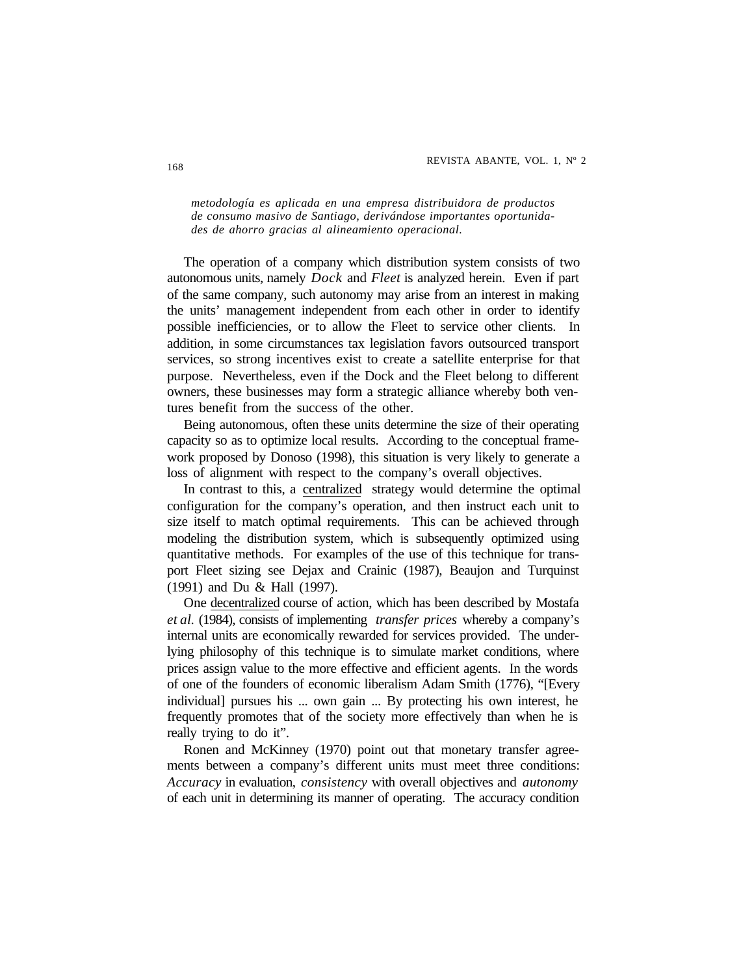*metodología es aplicada en una empresa distribuidora de productos de consumo masivo de Santiago, derivándose importantes oportunidades de ahorro gracias al alineamiento operacional.*

The operation of a company which distribution system consists of two autonomous units, namely *Dock* and *Fleet* is analyzed herein. Even if part of the same company, such autonomy may arise from an interest in making the units' management independent from each other in order to identify possible inefficiencies, or to allow the Fleet to service other clients. In addition, in some circumstances tax legislation favors outsourced transport services, so strong incentives exist to create a satellite enterprise for that purpose. Nevertheless, even if the Dock and the Fleet belong to different owners, these businesses may form a strategic alliance whereby both ventures benefit from the success of the other.

Being autonomous, often these units determine the size of their operating capacity so as to optimize local results. According to the conceptual framework proposed by Donoso (1998), this situation is very likely to generate a loss of alignment with respect to the company's overall objectives.

In contrast to this, a centralized strategy would determine the optimal configuration for the company's operation, and then instruct each unit to size itself to match optimal requirements. This can be achieved through modeling the distribution system, which is subsequently optimized using quantitative methods. For examples of the use of this technique for transport Fleet sizing see Dejax and Crainic (1987), Beaujon and Turquinst (1991) and Du & Hall (1997).

One decentralized course of action, which has been described by Mostafa *et al.* (1984), consists of implementing *transfer prices* whereby a company's internal units are economically rewarded for services provided. The underlying philosophy of this technique is to simulate market conditions, where prices assign value to the more effective and efficient agents. In the words of one of the founders of economic liberalism Adam Smith (1776), "[Every individual] pursues his ... own gain ... By protecting his own interest, he frequently promotes that of the society more effectively than when he is really trying to do it".

Ronen and McKinney (1970) point out that monetary transfer agreements between a company's different units must meet three conditions: *Accuracy* in evaluation, *consistency* with overall objectives and *autonomy* of each unit in determining its manner of operating. The accuracy condition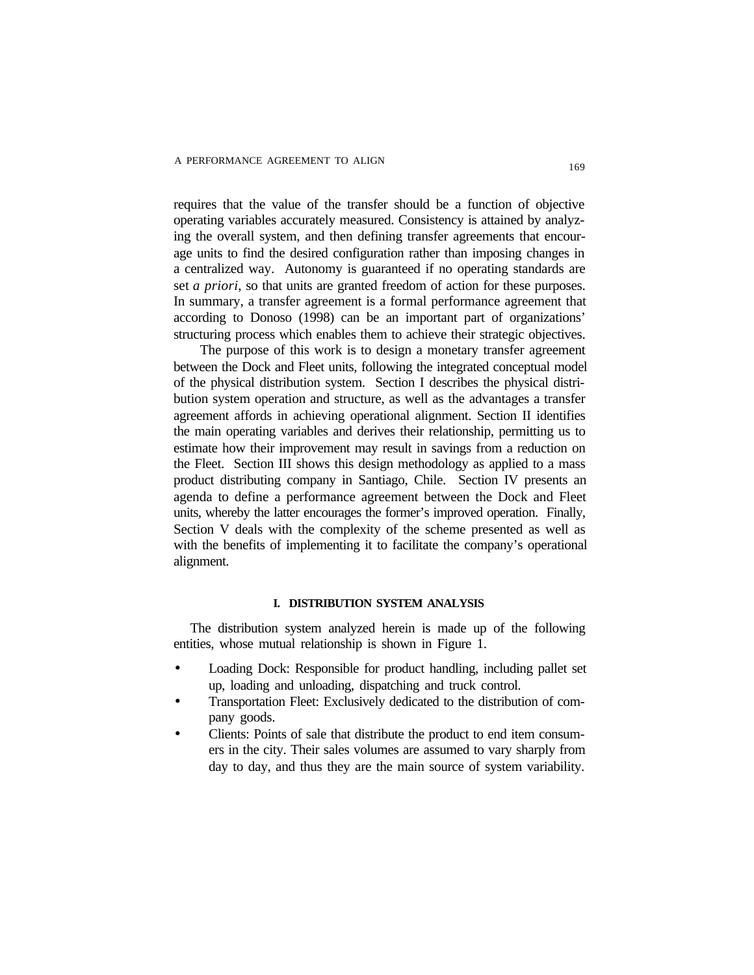requires that the value of the transfer should be a function of objective operating variables accurately measured. Consistency is attained by analyzing the overall system, and then defining transfer agreements that encourage units to find the desired configuration rather than imposing changes in a centralized way. Autonomy is guaranteed if no operating standards are set *a priori*, so that units are granted freedom of action for these purposes. In summary, a transfer agreement is a formal performance agreement that according to Donoso (1998) can be an important part of organizations' structuring process which enables them to achieve their strategic objectives.

 The purpose of this work is to design a monetary transfer agreement between the Dock and Fleet units, following the integrated conceptual model of the physical distribution system. Section I describes the physical distribution system operation and structure, as well as the advantages a transfer agreement affords in achieving operational alignment. Section II identifies the main operating variables and derives their relationship, permitting us to estimate how their improvement may result in savings from a reduction on the Fleet. Section III shows this design methodology as applied to a mass product distributing company in Santiago, Chile. Section IV presents an agenda to define a performance agreement between the Dock and Fleet units, whereby the latter encourages the former's improved operation. Finally, Section V deals with the complexity of the scheme presented as well as with the benefits of implementing it to facilitate the company's operational alignment.

#### **I. DISTRIBUTION SYSTEM ANALYSIS**

The distribution system analyzed herein is made up of the following entities, whose mutual relationship is shown in Figure 1.

- Loading Dock: Responsible for product handling, including pallet set up, loading and unloading, dispatching and truck control.
- Transportation Fleet: Exclusively dedicated to the distribution of company goods.
- Clients: Points of sale that distribute the product to end item consumers in the city. Their sales volumes are assumed to vary sharply from day to day, and thus they are the main source of system variability.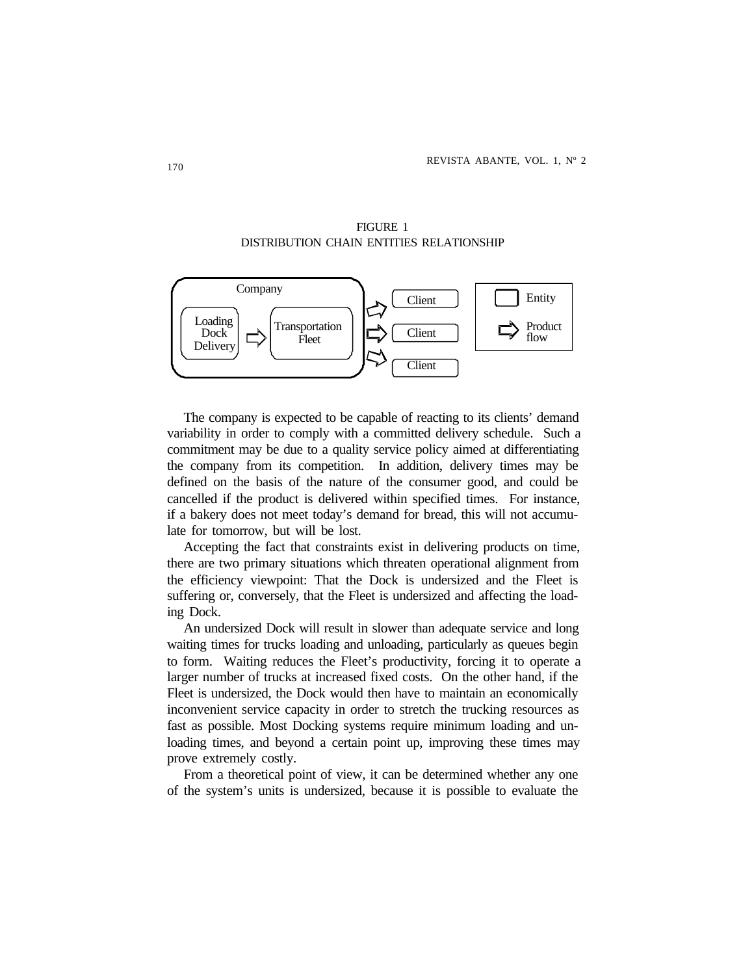



The company is expected to be capable of reacting to its clients' demand variability in order to comply with a committed delivery schedule. Such a commitment may be due to a quality service policy aimed at differentiating the company from its competition. In addition, delivery times may be defined on the basis of the nature of the consumer good, and could be cancelled if the product is delivered within specified times. For instance, if a bakery does not meet today's demand for bread, this will not accumulate for tomorrow, but will be lost.

Accepting the fact that constraints exist in delivering products on time, there are two primary situations which threaten operational alignment from the efficiency viewpoint: That the Dock is undersized and the Fleet is suffering or, conversely, that the Fleet is undersized and affecting the loading Dock.

An undersized Dock will result in slower than adequate service and long waiting times for trucks loading and unloading, particularly as queues begin to form. Waiting reduces the Fleet's productivity, forcing it to operate a larger number of trucks at increased fixed costs. On the other hand, if the Fleet is undersized, the Dock would then have to maintain an economically inconvenient service capacity in order to stretch the trucking resources as fast as possible. Most Docking systems require minimum loading and unloading times, and beyond a certain point up, improving these times may prove extremely costly.

From a theoretical point of view, it can be determined whether any one of the system's units is undersized, because it is possible to evaluate the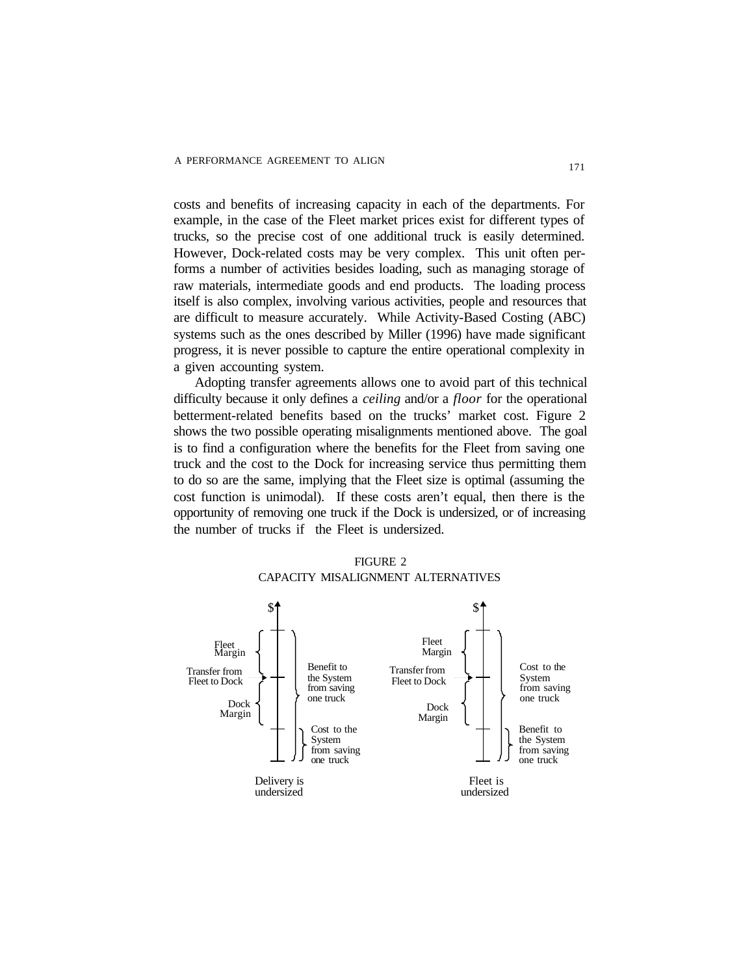costs and benefits of increasing capacity in each of the departments. For example, in the case of the Fleet market prices exist for different types of trucks, so the precise cost of one additional truck is easily determined. However, Dock-related costs may be very complex. This unit often performs a number of activities besides loading, such as managing storage of raw materials, intermediate goods and end products. The loading process itself is also complex, involving various activities, people and resources that are difficult to measure accurately. While Activity-Based Costing (ABC) systems such as the ones described by Miller (1996) have made significant progress, it is never possible to capture the entire operational complexity in a given accounting system.

 Adopting transfer agreements allows one to avoid part of this technical difficulty because it only defines a *ceiling* and/or a *floor* for the operational betterment-related benefits based on the trucks' market cost. Figure 2 shows the two possible operating misalignments mentioned above. The goal is to find a configuration where the benefits for the Fleet from saving one truck and the cost to the Dock for increasing service thus permitting them to do so are the same, implying that the Fleet size is optimal (assuming the cost function is unimodal). If these costs aren't equal, then there is the opportunity of removing one truck if the Dock is undersized, or of increasing the number of trucks if the Fleet is undersized.



#### FIGURE 2 CAPACITY MISALIGNMENT ALTERNATIVES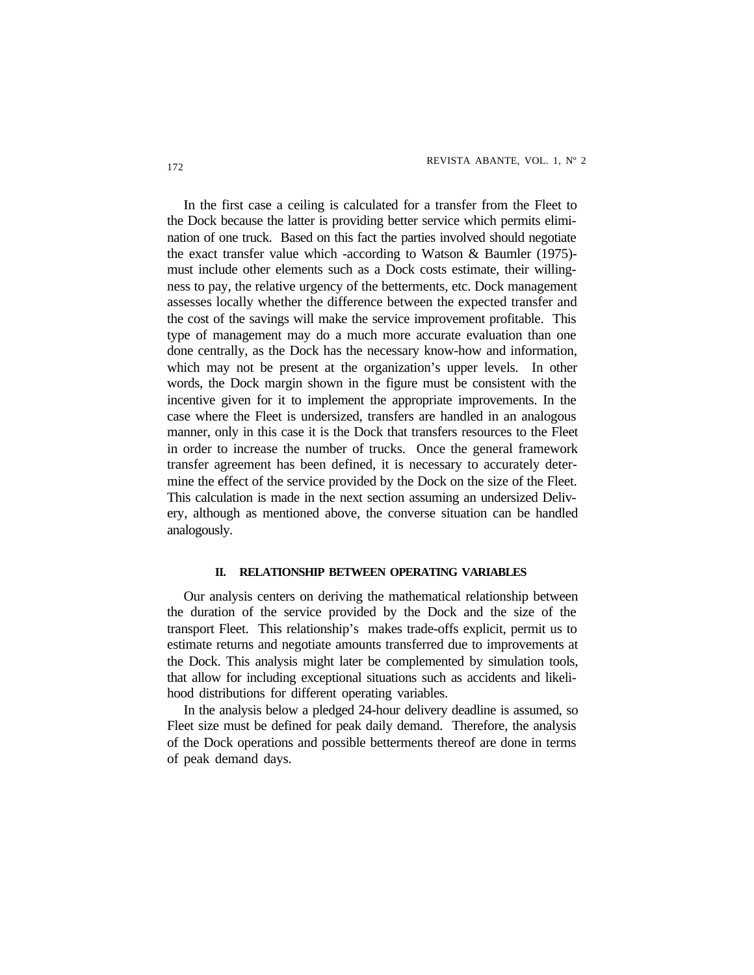In the first case a ceiling is calculated for a transfer from the Fleet to the Dock because the latter is providing better service which permits elimination of one truck. Based on this fact the parties involved should negotiate the exact transfer value which -according to Watson & Baumler (1975) must include other elements such as a Dock costs estimate, their willingness to pay, the relative urgency of the betterments, etc. Dock management assesses locally whether the difference between the expected transfer and the cost of the savings will make the service improvement profitable. This type of management may do a much more accurate evaluation than one done centrally, as the Dock has the necessary know-how and information, which may not be present at the organization's upper levels. In other words, the Dock margin shown in the figure must be consistent with the incentive given for it to implement the appropriate improvements. In the case where the Fleet is undersized, transfers are handled in an analogous manner, only in this case it is the Dock that transfers resources to the Fleet in order to increase the number of trucks. Once the general framework transfer agreement has been defined, it is necessary to accurately determine the effect of the service provided by the Dock on the size of the Fleet. This calculation is made in the next section assuming an undersized Delivery, although as mentioned above, the converse situation can be handled analogously.

#### **II. RELATIONSHIP BETWEEN OPERATING VARIABLES**

Our analysis centers on deriving the mathematical relationship between the duration of the service provided by the Dock and the size of the transport Fleet. This relationship's makes trade-offs explicit, permit us to estimate returns and negotiate amounts transferred due to improvements at the Dock. This analysis might later be complemented by simulation tools, that allow for including exceptional situations such as accidents and likelihood distributions for different operating variables.

In the analysis below a pledged 24-hour delivery deadline is assumed, so Fleet size must be defined for peak daily demand. Therefore, the analysis of the Dock operations and possible betterments thereof are done in terms of peak demand days.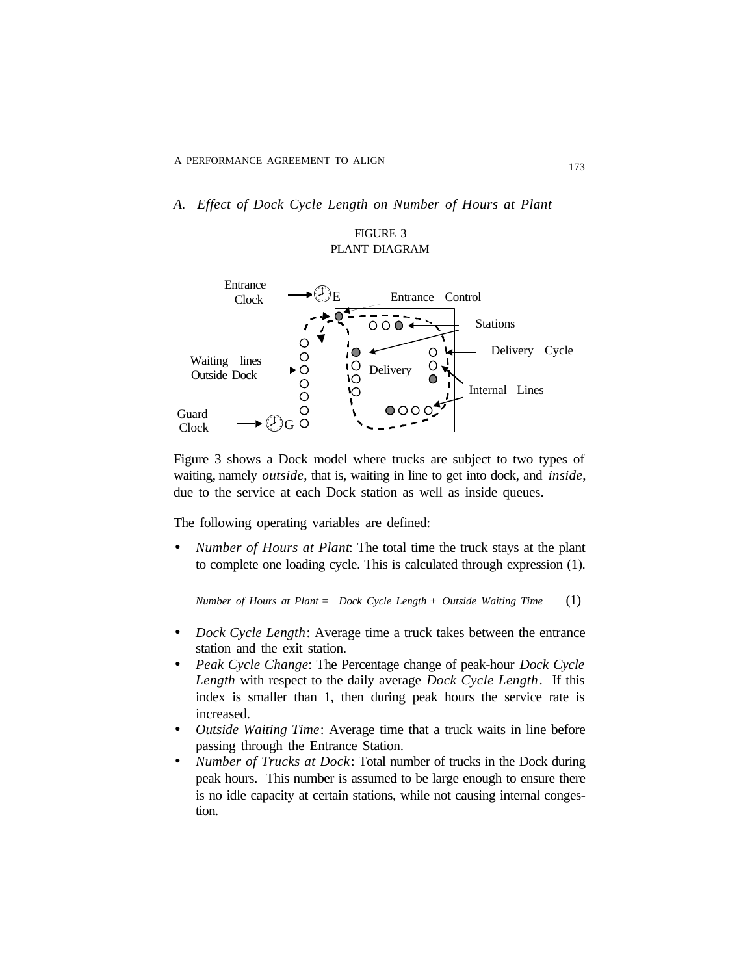*A. Effect of Dock Cycle Length on Number of Hours at Plant*

#### FIGURE 3 PLANT DIAGRAM



Figure 3 shows a Dock model where trucks are subject to two types of waiting, namely *outside*, that is, waiting in line to get into dock, and *inside*, due to the service at each Dock station as well as inside queues.

The following operating variables are defined:

• *Number of Hours at Plant*: The total time the truck stays at the plant to complete one loading cycle. This is calculated through expression (1).

*Number of Hours at Plant* = *Dock Cycle Length* + *Outside Waiting Time* (1)

- *Dock Cycle Length*: Average time a truck takes between the entrance station and the exit station.
- *Peak Cycle Change*: The Percentage change of peak-hour *Dock Cycle Length* with respect to the daily average *Dock Cycle Length*. If this index is smaller than 1, then during peak hours the service rate is increased.
- *Outside Waiting Time*: Average time that a truck waits in line before passing through the Entrance Station.
- *Number of Trucks at Dock*: Total number of trucks in the Dock during peak hours. This number is assumed to be large enough to ensure there is no idle capacity at certain stations, while not causing internal congestion.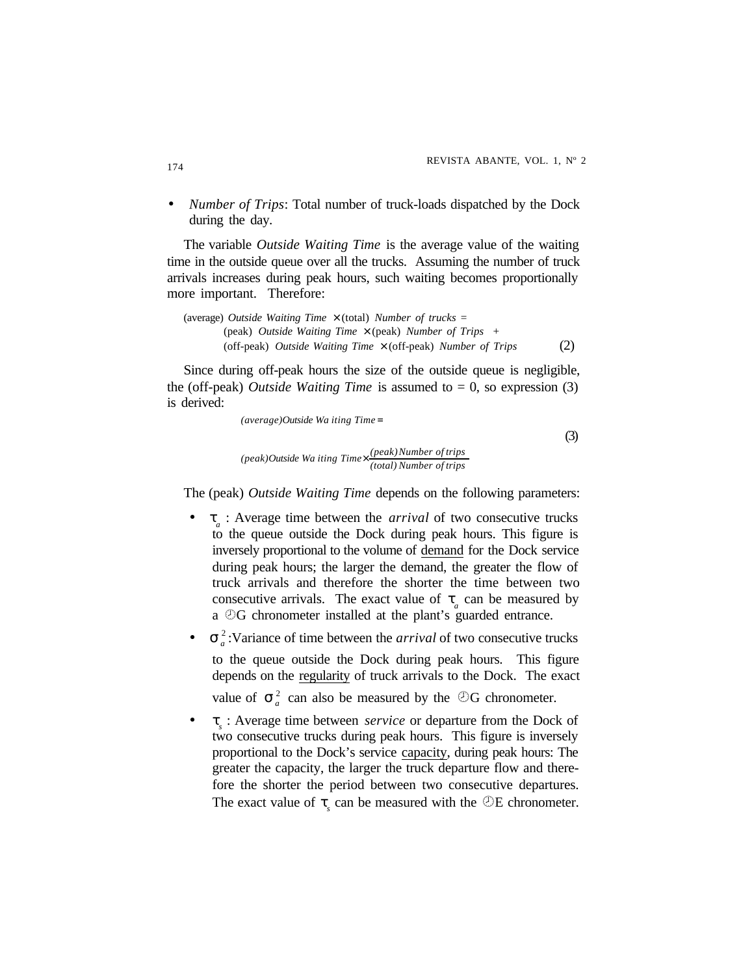• *Number of Trips*: Total number of truck-loads dispatched by the Dock during the day.

The variable *Outside Waiting Time* is the average value of the waiting time in the outside queue over all the trucks. Assuming the number of truck arrivals increases during peak hours, such waiting becomes proportionally more important. Therefore:

```
(average) Outside Waiting Time × (total) Number of trucks =
 (peak) Outside Waiting Time × (peak) Number of Trips +
(off-peak) Outside Waiting Time × (off-peak) Number of Trips (2)
```
Since during off-peak hours the size of the outside queue is negligible, the (off-peak) *Outside Waiting Time* is assumed to  $= 0$ , so expression (3) is derived:

*(average)Outside Wa iting Time* =

*(total) Number of trips (peak)Number of trips (peak)Outside Wa iting Time* ×

The (peak) *Outside Waiting Time* depends on the following parameters:

(3)

- $t_a$ : Average time between the *arrival* of two consecutive trucks to the queue outside the Dock during peak hours. This figure is inversely proportional to the volume of demand for the Dock service during peak hours; the larger the demand, the greater the flow of truck arrivals and therefore the shorter the time between two consecutive arrivals. The exact value of  $t_a$  can be measured by a æG chronometer installed at the plant's guarded entrance.
- $\mathbf{s}_a^2$ : Variance of time between the *arrival* of two consecutive trucks to the queue outside the Dock during peak hours. This figure depends on the regularity of truck arrivals to the Dock. The exact value of  $s_a^2$  can also be measured by the  $\mathcal{D}G$  chronometer.
- *t s* : Average time between *service* or departure from the Dock of two consecutive trucks during peak hours. This figure is inversely proportional to the Dock's service capacity, during peak hours: The greater the capacity, the larger the truck departure flow and therefore the shorter the period between two consecutive departures. The exact value of  $t_s$  can be measured with the  $\mathcal{D}E$  chronometer.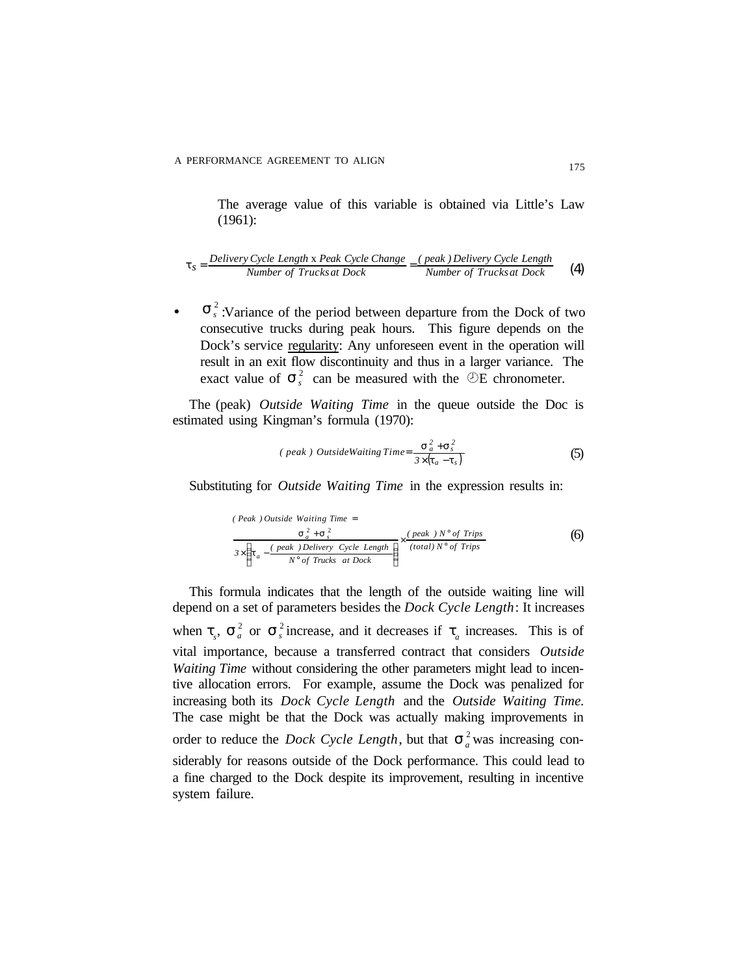The average value of this variable is obtained via Little's Law (1961):

$$
t_s = \frac{Delivery Cycle Length x Peak Cycle Change}{Number of Trucks at Dock} = \frac{(peak) Delivery Cycle Length}{Number of Trucks at Dock}
$$
 (4)

exact value of  $s<sub>s</sub><sup>2</sup>$  can be measured with the  $\mathcal{D}E$  chronometer. •  $\mathbf{s}_s^2$ :Variance of the period between departure from the Dock of two consecutive trucks during peak hours. This figure depends on the Dock's service regularity: Any unforeseen event in the operation will result in an exit flow discontinuity and thus in a larger variance. The

The (peak) *Outside Waiting Time* in the queue outside the Doc is estimated using Kingman's formula (1970):

(*peak*) Outside Waiting Time = 
$$
\frac{\mathbf{S}_a^2 + \mathbf{S}_s^2}{3 \times (\mathbf{t}_a - \mathbf{t}_s)}
$$
(5)

Substituting for *Outside Waiting Time* in the expression results in:

$$
(Peak) Outside Waiting Time =
$$
\n
$$
\frac{s_a^2 + s_s^2}{3 \times \left(t_a - \frac{(peak) Delivery Cycle Length}{N^\circ of Trust}\right)} \times \frac{(peak) N^\circ of Trips}{(total) N^\circ of Trips}
$$
\n(6)

This formula indicates that the length of the outside waiting line will depend on a set of parameters besides the *Dock Cycle Length*: It increases when  $t_s$ ,  $s_a^2$  or  $s_s^2$  increase, and it decreases if  $t_a$  increases. This is of vital importance, because a transferred contract that considers *Outside Waiting Time* without considering the other parameters might lead to incentive allocation errors. For example, assume the Dock was penalized for increasing both its *Dock Cycle Length* and the *Outside Waiting Time.* The case might be that the Dock was actually making improvements in order to reduce the *Dock Cycle Length*, but that  $S_a^2$  was increasing considerably for reasons outside of the Dock performance. This could lead to a fine charged to the Dock despite its improvement, resulting in incentive system failure.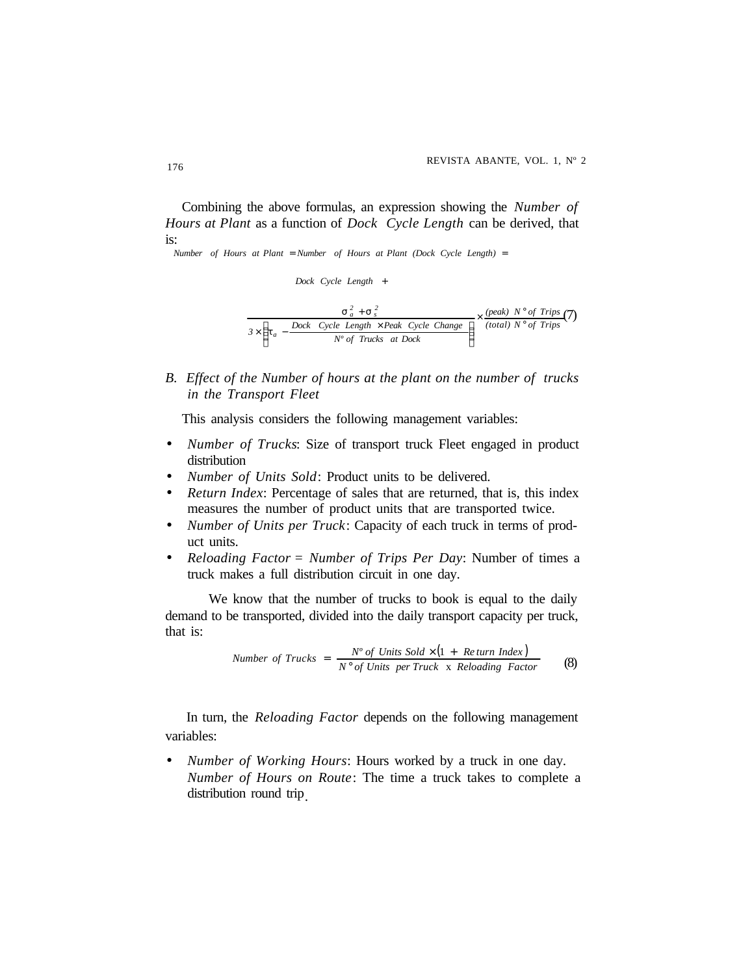Combining the above formulas, an expression showing the *Number of Hours at Plant* as a function of *Dock Cycle Length* can be derived, that is:

*Number of Hours at Plant Number of Hours at Plant (Dock Cycle Length)* = =

*(total) N of Trips (peak) N of Trips Nº of Trucks at Dock*  $\mathcal{B} \times \left( \mathbf{t}_{a} - \frac{Dock \quad Cycle \quad Length \times Peak \quad Cycle \quad Change}{P} \right)$  *Dock Cycle Length*  +  $\frac{2}{a} + S_s^2$ <br> *z* ength  $\times$  Peak Cycle Change  $\rightarrow$   $\times$  (total)  $N^\circ$  $\times \frac{(peak) N^{\circ}}{1}$   $\overline{1}$ Ì I l  $\times \left(t_a - \frac{Dock \quad Cycle \ Length \times}{\ }$ + *t*  $s_a^2 + s_s^2$  (*peak*)  $N^\circ$  of Trips (7)

*B. Effect of the Number of hours at the plant on the number of trucks in the Transport Fleet*

This analysis considers the following management variables:

- *Number of Trucks*: Size of transport truck Fleet engaged in product distribution
- *Number of Units Sold*: Product units to be delivered.
- *Return Index:* Percentage of sales that are returned, that is, this index measures the number of product units that are transported twice.
- *Number of Units per Truck*: Capacity of each truck in terms of product units.
- *Reloading Factor* = *Number of Trips Per Day*: Number of times a truck makes a full distribution circuit in one day.

We know that the number of trucks to book is equal to the daily demand to be transported, divided into the daily transport capacity per truck, that is:

Number of Trucks = 
$$
\frac{N^{\circ} of Units Sold \times (1 + Return Index)}{N^{\circ} of Units per Truck x Reloading Factor}
$$
 (8)

 In turn, the *Reloading Factor* depends on the following management variables:

• *Number of Working Hours*: Hours worked by a truck in one day. *Number of Hours on Route*: The time a truck takes to complete a distribution round trip.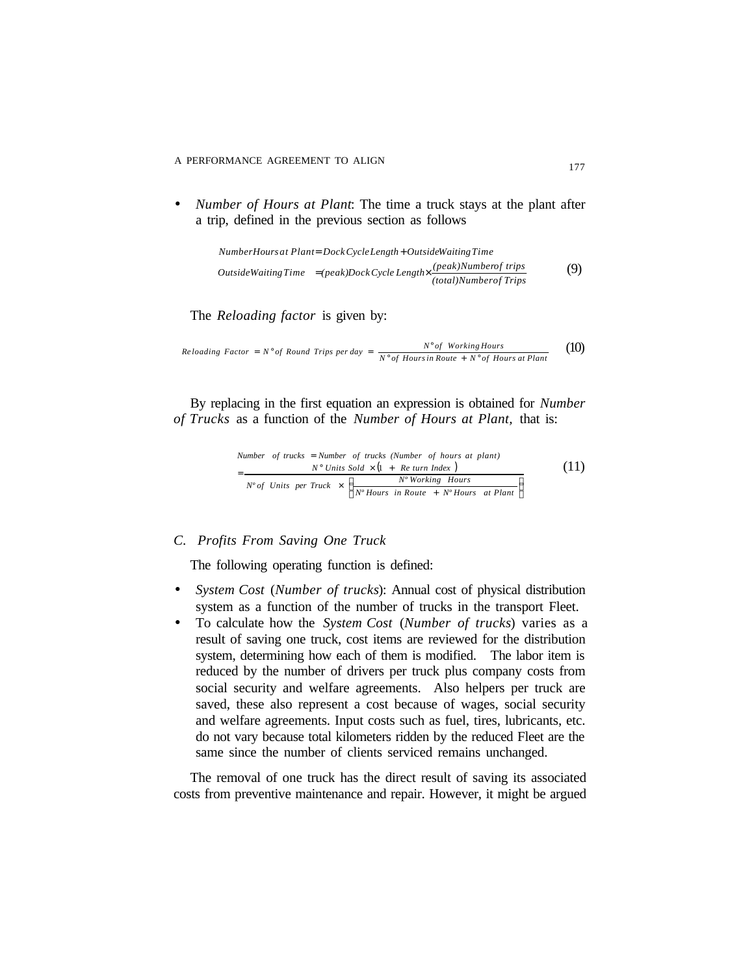• *Number of Hours at Plant*: The time a truck stays at the plant after a trip, defined in the previous section as follows

 (9) *(total)Numberof Trips (peak)Numberof trips OutsideWaitingTime (peak)DockCycle Length NumberHoursat Plant DockCycleLength OutsideWaitingTime* = × = +

The *Reloading factor* is given by:

*Reloading Factor* = 
$$
N^{\circ}
$$
 of Round Trips per day =  $\frac{N^{\circ} of Working Hours}{N^{\circ} of Hours in Route + N^{\circ} of Hours at Plant}$  (10)

By replacing in the first equation an expression is obtained for *Number of Trucks* as a function of the *Number of Hours at Plant,* that is:

Number of trucks = Number of trucks (Number of hours at plant)  
\n=
$$
\frac{N^{\circ} Units \text{ Sold} \times (1 + Re turn Index)}{N^{\circ} of Units \text{ per Truek} \times \left(\frac{N^{\circ}Working \text{ Hours}}{N^{\circ} Hours \text{ in Route} + N^{\circ} Hours \text{ at Plant}}\right)}
$$
\n(11)

#### *C. Profits From Saving One Truck*

The following operating function is defined:

- *System Cost* (*Number of trucks*): Annual cost of physical distribution system as a function of the number of trucks in the transport Fleet.
- To calculate how the *System Cost* (*Number of trucks*) varies as a result of saving one truck, cost items are reviewed for the distribution system, determining how each of them is modified. The labor item is reduced by the number of drivers per truck plus company costs from social security and welfare agreements. Also helpers per truck are saved, these also represent a cost because of wages, social security and welfare agreements. Input costs such as fuel, tires, lubricants, etc. do not vary because total kilometers ridden by the reduced Fleet are the same since the number of clients serviced remains unchanged.

The removal of one truck has the direct result of saving its associated costs from preventive maintenance and repair. However, it might be argued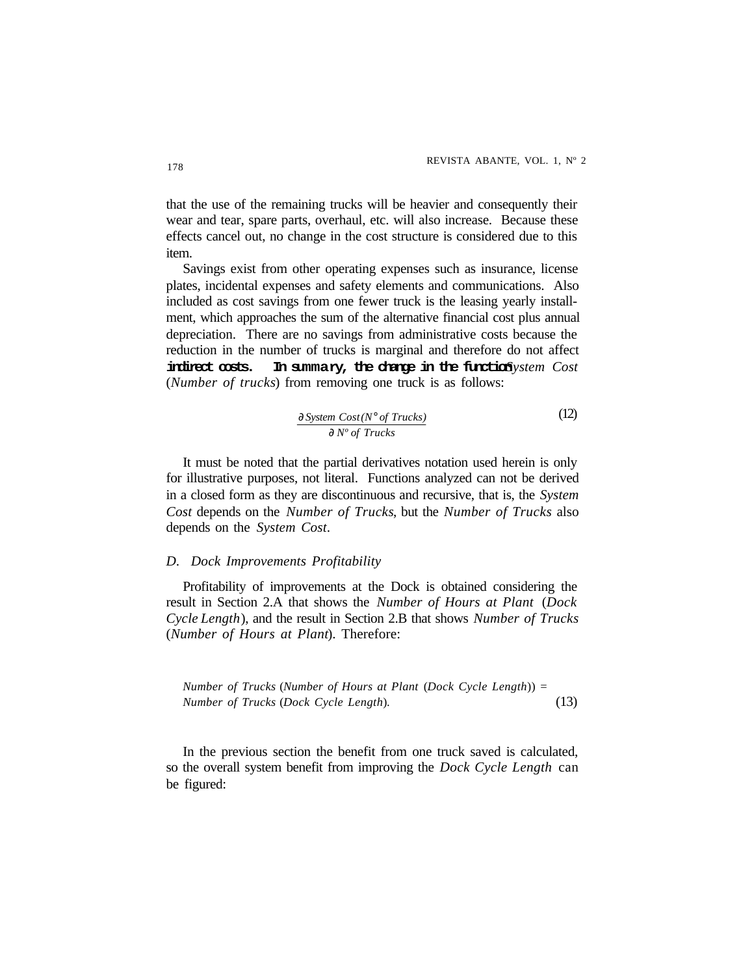that the use of the remaining trucks will be heavier and consequently their wear and tear, spare parts, overhaul, etc. will also increase. Because these effects cancel out, no change in the cost structure is considered due to this item.

Savings exist from other operating expenses such as insurance, license plates, incidental expenses and safety elements and communications. Also included as cost savings from one fewer truck is the leasing yearly installment, which approaches the sum of the alternative financial cost plus annual depreciation. There are no savings from administrative costs because the reduction in the number of trucks is marginal and therefore do not affect indirect costs. In summary, the change in the function *System Cost* (*Number of trucks*) from removing one truck is as follows:

$$
\frac{\partial \text{System Cost}(N^{\circ} \text{ of } \text{Trucks})}{\partial \text{ } N^{\circ} \text{ } of \text{ Trucks}}
$$
\n(12)

It must be noted that the partial derivatives notation used herein is only for illustrative purposes, not literal. Functions analyzed can not be derived in a closed form as they are discontinuous and recursive, that is, the *System Cost* depends on the *Number of Trucks*, but the *Number of Trucks* also depends on the *System Cost*.

#### *D. Dock Improvements Profitability*

Profitability of improvements at the Dock is obtained considering the result in Section 2.A that shows the *Number of Hours at Plant* (*Dock Cycle Length*), and the result in Section 2.B that shows *Number of Trucks* (*Number of Hours at Plant*). Therefore:

*Number of Trucks* (*Number of Hours at Plant* (*Dock Cycle Length*)) = *Number of Trucks* (*Dock Cycle Length*). (13)

In the previous section the benefit from one truck saved is calculated, so the overall system benefit from improving the *Dock Cycle Length* can be figured: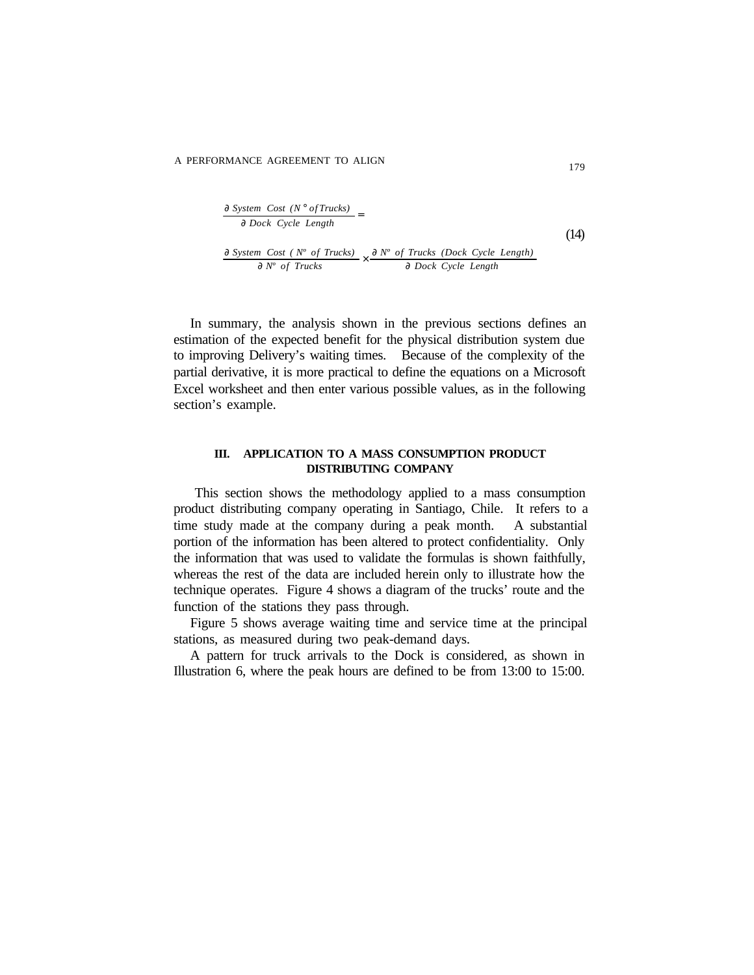$$
\frac{\partial \text{ System Cost (N° of Trucks)}}{\partial \text{Dock Cycle Length}} =
$$
\n
$$
\frac{\partial \text{ System Cost (N° of Trucks)}}{\partial N° \text{ of Trucks}} \times \frac{\partial N° \text{ of Trucks (Dock Cycle Length)}}{\partial \text{Dock Cycle Length}}
$$
\n(14)

In summary, the analysis shown in the previous sections defines an estimation of the expected benefit for the physical distribution system due to improving Delivery's waiting times. Because of the complexity of the partial derivative, it is more practical to define the equations on a Microsoft Excel worksheet and then enter various possible values, as in the following section's example.

#### **III. APPLICATION TO A MASS CONSUMPTION PRODUCT DISTRIBUTING COMPANY**

This section shows the methodology applied to a mass consumption product distributing company operating in Santiago, Chile. It refers to a time study made at the company during a peak month. A substantial portion of the information has been altered to protect confidentiality. Only the information that was used to validate the formulas is shown faithfully, whereas the rest of the data are included herein only to illustrate how the technique operates. Figure 4 shows a diagram of the trucks' route and the function of the stations they pass through.

Figure 5 shows average waiting time and service time at the principal stations, as measured during two peak-demand days.

A pattern for truck arrivals to the Dock is considered, as shown in Illustration 6, where the peak hours are defined to be from 13:00 to 15:00.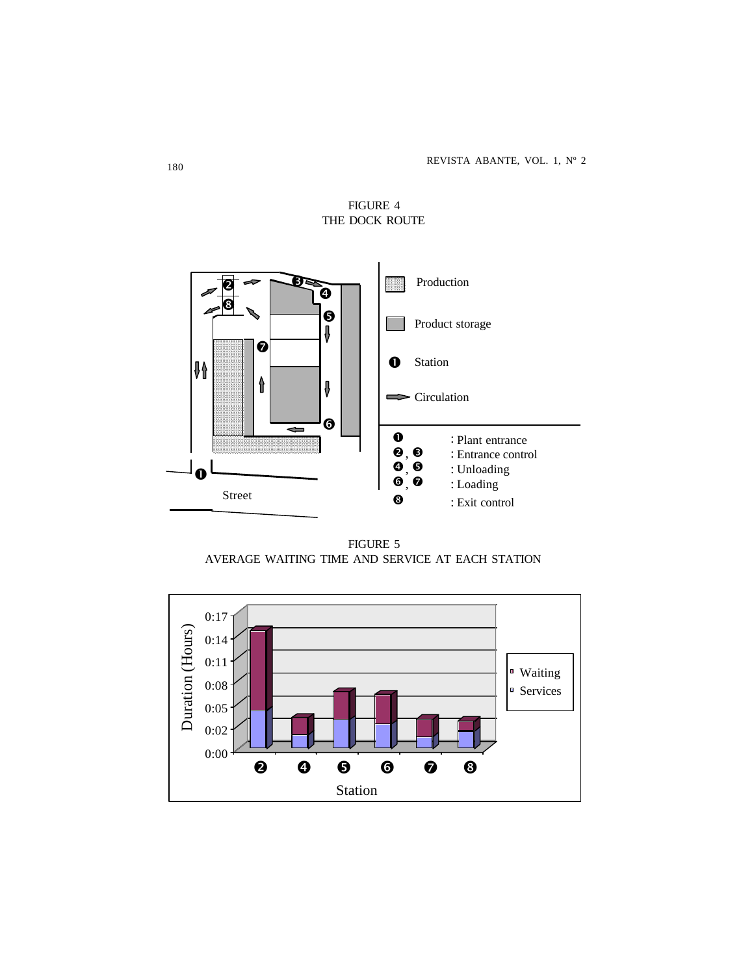

FIGURE 4 THE DOCK ROUTE

FIGURE 5 AVERAGE WAITING TIME AND SERVICE AT EACH STATION

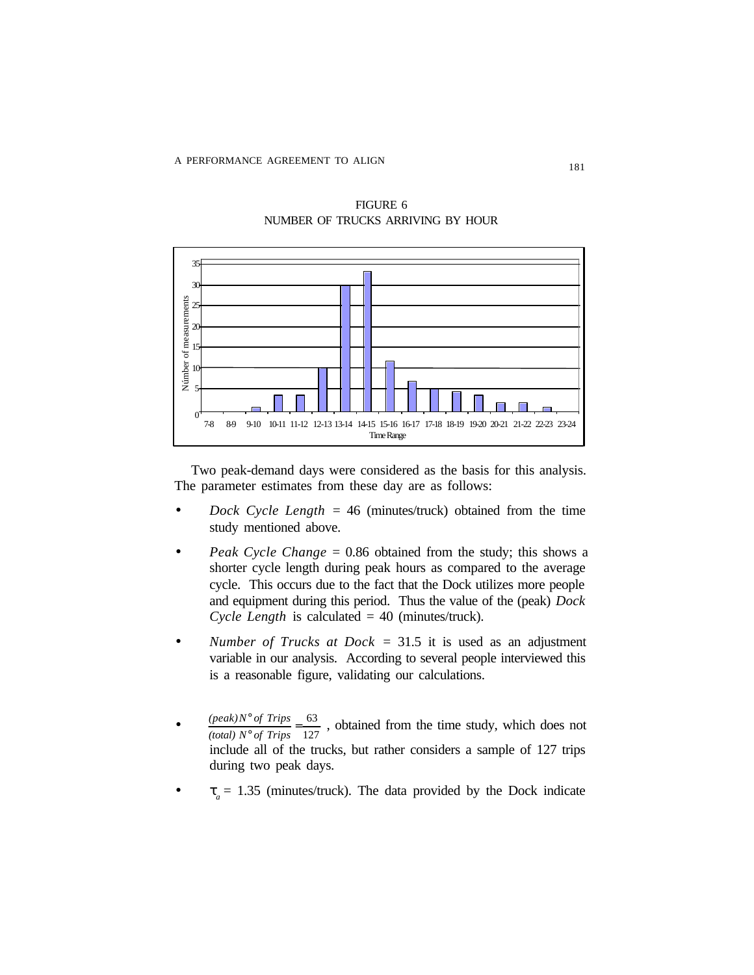

FIGURE 6 NUMBER OF TRUCKS ARRIVING BY HOUR

Two peak-demand days were considered as the basis for this analysis. The parameter estimates from these day are as follows:

- *Dock Cycle Length* = 46 (minutes/truck) obtained from the time study mentioned above.
- *Peak Cycle Change* = 0.86 obtained from the study; this shows a shorter cycle length during peak hours as compared to the average cycle. This occurs due to the fact that the Dock utilizes more people and equipment during this period. Thus the value of the (peak) *Dock Cycle Length* is calculated = 40 (minutes/truck).
- *Number of Trucks at Dock* = 31.5 it is used as an adjustment variable in our analysis. According to several people interviewed this is a reasonable figure, validating our calculations.
- $\frac{(peak)N}{(total) N^{\circ} of Trips} = \frac{03}{127}$ , obtained from the time study, which does not include all of the trucks, but rather considers a sample of 127 trips during two peak days.  $\frac{\circ}{\circ}$  of Trips  $=$   $\frac{63}{127}$ ° *(total) N of Trips (peak)N of Trips*
- $\bullet$   $t_a = 1.35$  (minutes/truck). The data provided by the Dock indicate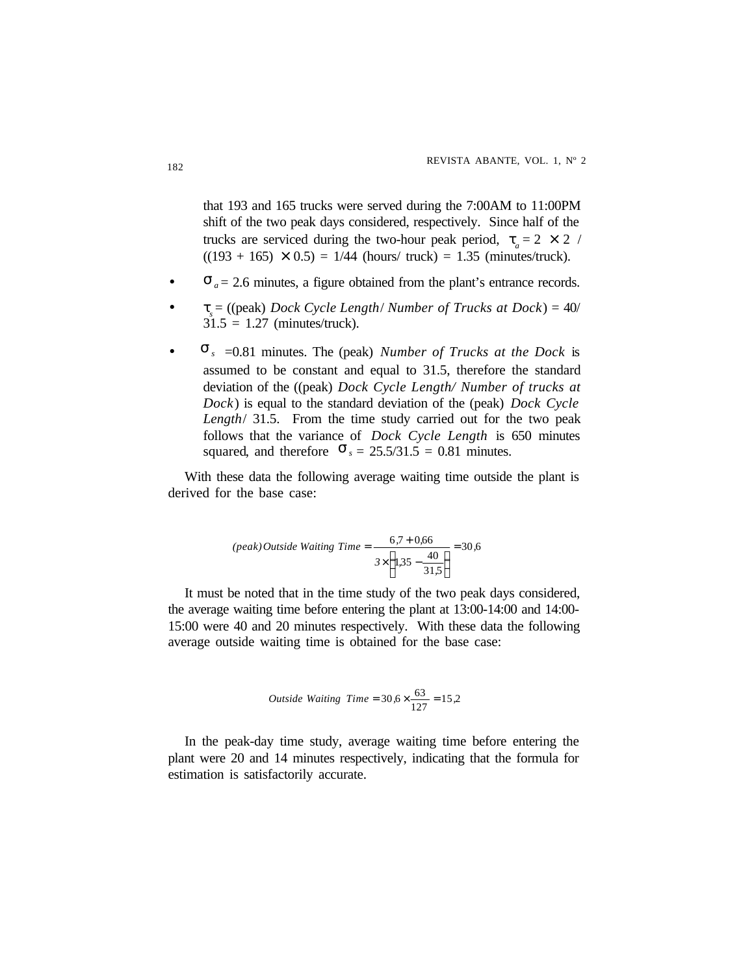that 193 and 165 trucks were served during the 7:00AM to 11:00PM shift of the two peak days considered, respectively. Since half of the trucks are serviced during the two-hour peak period,  $t_a = 2 \times 2$  /  $((193 + 165) \times 0.5) = 1/44$  (hours/ truck) = 1.35 (minutes/truck).

- $S_a = 2.6$  minutes, a figure obtained from the plant's entrance records.
- *t* = ((peak) *Dock Cycle Length*/ *Number of Trucks at Dock*) = 40/  $s_s$  –  $\langle$  (peak) *Book* eyere *Bon*<br>31.5 = 1.27 (minutes/truck).
- $S_s = 0.81$  minutes. The (peak) *Number of Trucks at the Dock* is assumed to be constant and equal to 31.5, therefore the standard deviation of the ((peak) *Dock Cycle Length/ Number of trucks at Dock*) is equal to the standard deviation of the (peak) *Dock Cycle Length*/ 31.5. From the time study carried out for the two peak follows that the variance of *Dock Cycle Length* is 650 minutes squared, and therefore  $S_s = 25.5/31.5 = 0.81$  minutes.

With these data the following average waiting time outside the plant is derived for the base case:

$$
(peak) Outside \text{ Waiting Time} = \frac{6.7 + 0.66}{3 \times \left(1.35 - \frac{40}{31.5}\right)} = 30.6
$$

It must be noted that in the time study of the two peak days considered, the average waiting time before entering the plant at 13:00-14:00 and 14:00- 15:00 were 40 and 20 minutes respectively. With these data the following average outside waiting time is obtained for the base case:

*Outside Waiting Time* = 
$$
30,6 \times \frac{63}{127} = 15,2
$$

In the peak-day time study, average waiting time before entering the plant were 20 and 14 minutes respectively, indicating that the formula for estimation is satisfactorily accurate.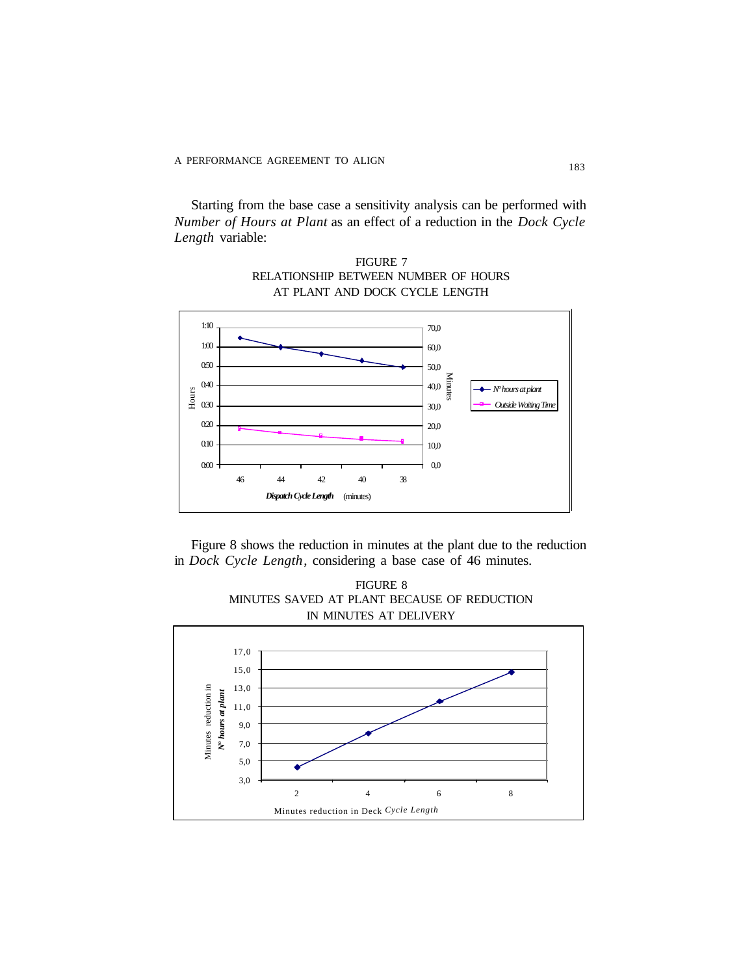Starting from the base case a sensitivity analysis can be performed with *Number of Hours at Plant* as an effect of a reduction in the *Dock Cycle Length* variable:

0,0 10,0 20,0 30,0 40,0 50,0 60,0 70,0 46 44 42 40 38 *Dispatch Cycle Length* (minutes) Minutes *Nº hours at plant Outside Waiting Time* 0:10 0:20 i<br>H 030 0:40 0:50  $1:00$ 1:10 0:00

FIGURE 7 RELATIONSHIP BETWEEN NUMBER OF HOURS AT PLANT AND DOCK CYCLE LENGTH

Figure 8 shows the reduction in minutes at the plant due to the reduction in *Dock Cycle Length*, considering a base case of 46 minutes.

FIGURE 8 MINUTES SAVED AT PLANT BECAUSE OF REDUCTION IN MINUTES AT DELIVERY

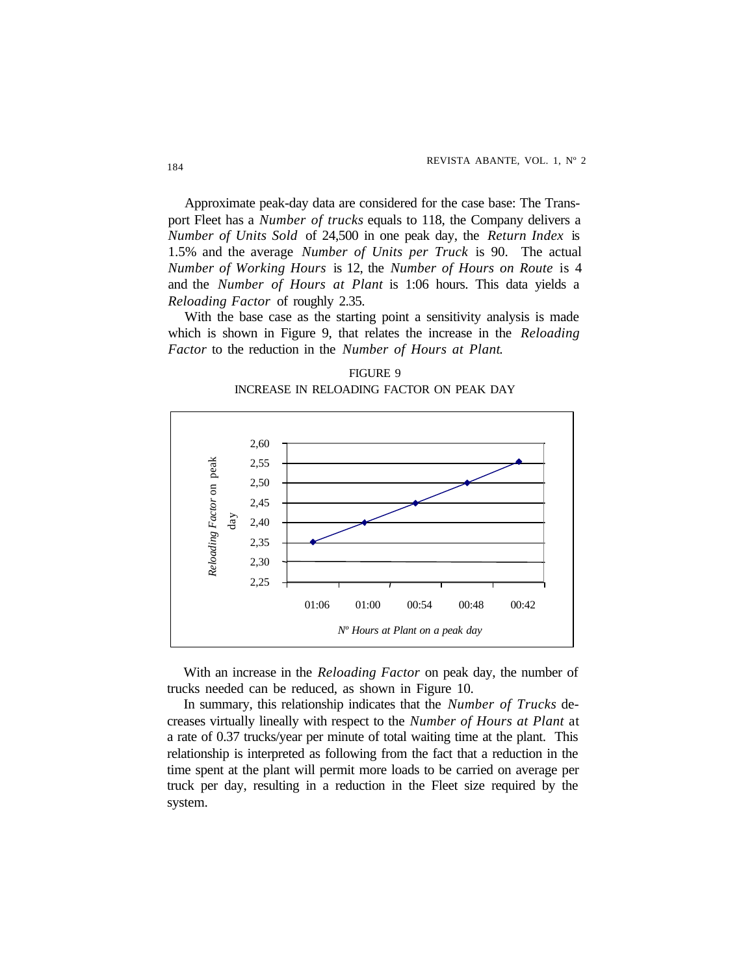Approximate peak-day data are considered for the case base: The Transport Fleet has a *Number of trucks* equals to 118, the Company delivers a *Number of Units Sold* of 24,500 in one peak day, the *Return Index* is 1.5% and the average *Number of Units per Truck* is 90. The actual *Number of Working Hours* is 12, the *Number of Hours on Route* is 4 and the *Number of Hours at Plant* is 1:06 hours. This data yields a *Reloading Factor* of roughly 2.35.

With the base case as the starting point a sensitivity analysis is made which is shown in Figure 9, that relates the increase in the *Reloading Factor* to the reduction in the *Number of Hours at Plant*.

FIGURE 9 INCREASE IN RELOADING FACTOR ON PEAK DAY



With an increase in the *Reloading Factor* on peak day, the number of trucks needed can be reduced, as shown in Figure 10.

In summary, this relationship indicates that the *Number of Trucks* decreases virtually lineally with respect to the *Number of Hours at Plant* at a rate of 0.37 trucks/year per minute of total waiting time at the plant. This relationship is interpreted as following from the fact that a reduction in the time spent at the plant will permit more loads to be carried on average per truck per day, resulting in a reduction in the Fleet size required by the system.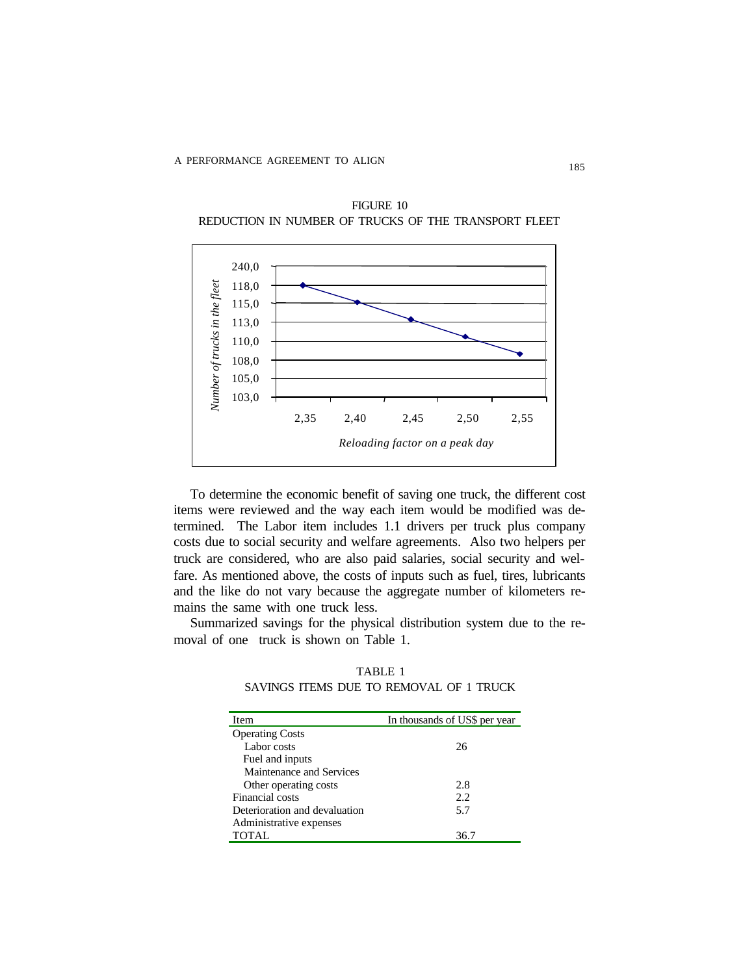

FIGURE 10 REDUCTION IN NUMBER OF TRUCKS OF THE TRANSPORT FLEET

To determine the economic benefit of saving one truck, the different cost items were reviewed and the way each item would be modified was determined. The Labor item includes 1.1 drivers per truck plus company costs due to social security and welfare agreements. Also two helpers per truck are considered, who are also paid salaries, social security and welfare. As mentioned above, the costs of inputs such as fuel, tires, lubricants and the like do not vary because the aggregate number of kilometers remains the same with one truck less.

Summarized savings for the physical distribution system due to the removal of one truck is shown on Table 1.

TABLE 1 SAVINGS ITEMS DUE TO REMOVAL OF 1 TRUCK

| <b>Item</b>                   | In thousands of US\$ per year |  |
|-------------------------------|-------------------------------|--|
| <b>Operating Costs</b>        |                               |  |
| Labor costs                   | 26                            |  |
| Fuel and inputs               |                               |  |
| Maintenance and Services      |                               |  |
| Other operating costs         | 2.8                           |  |
| Financial costs               | 2.2.                          |  |
| Deterioration and devaluation | 5.7                           |  |
| Administrative expenses       |                               |  |
| <b>TOTAL</b>                  | 36.7                          |  |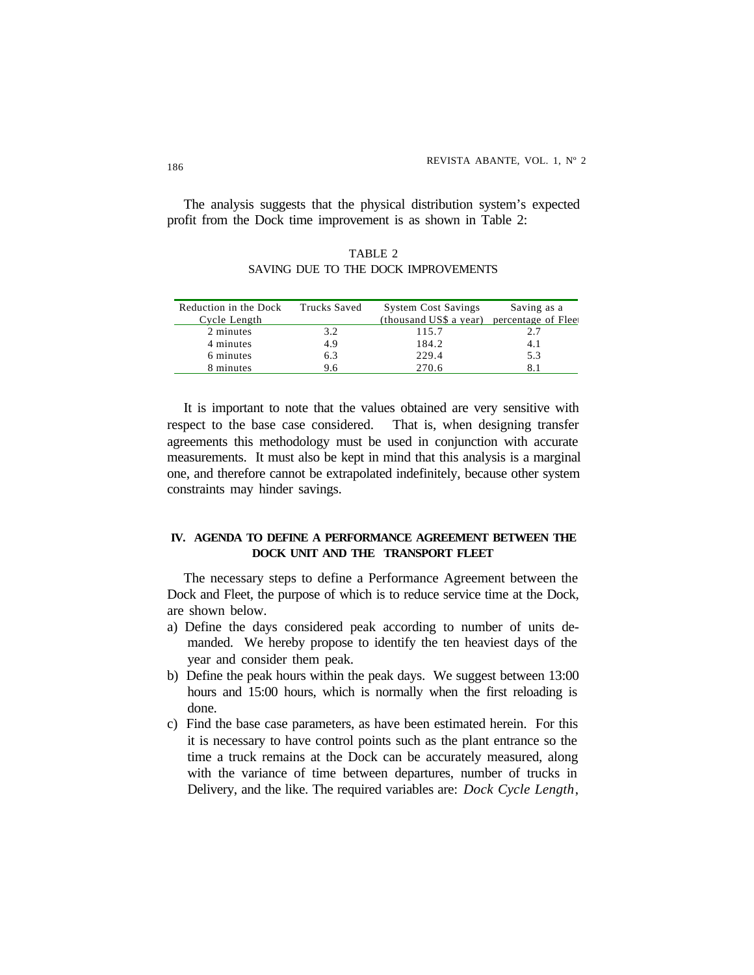The analysis suggests that the physical distribution system's expected profit from the Dock time improvement is as shown in Table 2:

TABLE 2 SAVING DUE TO THE DOCK IMPROVEMENTS

| Reduction in the Dock | <b>Trucks Saved</b> | <b>System Cost Savings</b> | Saving as a        |
|-----------------------|---------------------|----------------------------|--------------------|
| Cycle Length          |                     | (thousand US\$ a year)     | percentage of Flee |
| 2 minutes             | 3.2                 | 115.7                      | 2.7                |
| 4 minutes             | 4.9                 | 184.2                      | 4.1                |
| 6 minutes             | 6.3                 | 229.4                      | 5.3                |
| 8 minutes             | 9.6                 | 270.6                      |                    |

It is important to note that the values obtained are very sensitive with respect to the base case considered. That is, when designing transfer agreements this methodology must be used in conjunction with accurate measurements. It must also be kept in mind that this analysis is a marginal one, and therefore cannot be extrapolated indefinitely, because other system constraints may hinder savings.

### **IV. AGENDA TO DEFINE A PERFORMANCE AGREEMENT BETWEEN THE DOCK UNIT AND THE TRANSPORT FLEET**

The necessary steps to define a Performance Agreement between the Dock and Fleet, the purpose of which is to reduce service time at the Dock, are shown below.

- a) Define the days considered peak according to number of units demanded. We hereby propose to identify the ten heaviest days of the year and consider them peak.
- b) Define the peak hours within the peak days. We suggest between 13:00 hours and 15:00 hours, which is normally when the first reloading is done.
- c) Find the base case parameters, as have been estimated herein. For this it is necessary to have control points such as the plant entrance so the time a truck remains at the Dock can be accurately measured, along with the variance of time between departures, number of trucks in Delivery, and the like. The required variables are: *Dock Cycle Length*,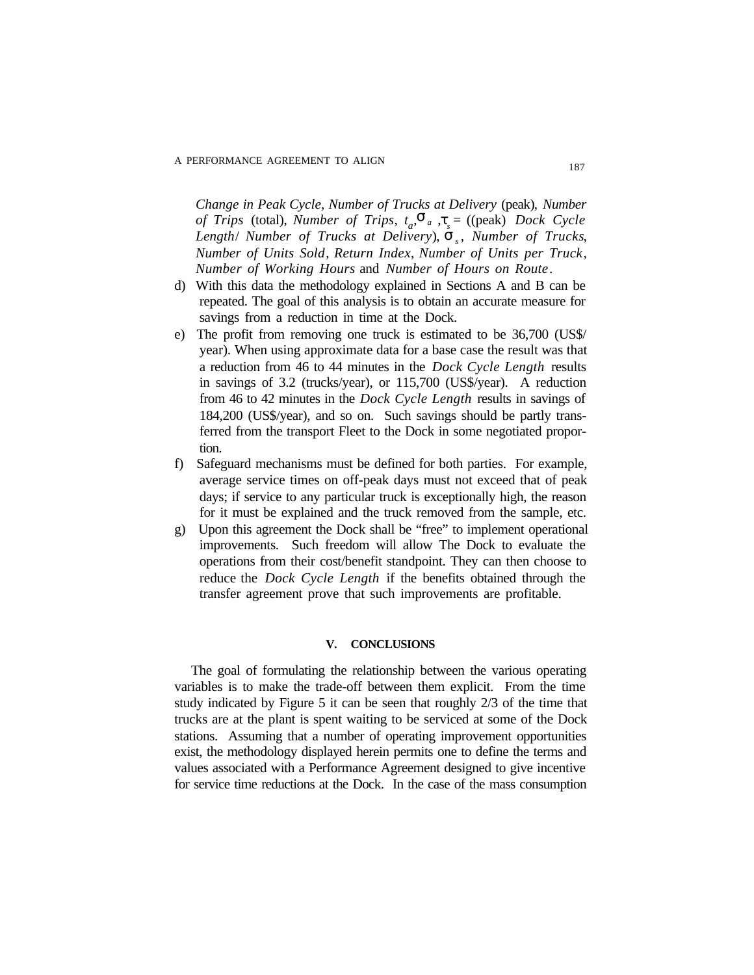*Length*/ *Number of Trucks at Delivery*),  $\dot{\bm{s}}_s$ , *Number of Trucks*, *Change in Peak Cycle, Number of Trucks at Delivery* (peak), *Number of Trips* (total), *Number of Trips*,  $t_a$ ,  $\mathbf{s}_a$ ,  $\mathbf{t}_s$  = ((peak) *Dock Cycle Number of Units Sold*, *Return Index*, *Number of Units per Truck*, *Number of Working Hours* and *Number of Hours on Route*.

- d) With this data the methodology explained in Sections A and B can be repeated. The goal of this analysis is to obtain an accurate measure for savings from a reduction in time at the Dock.
- e) The profit from removing one truck is estimated to be 36,700 (US\$/ year). When using approximate data for a base case the result was that a reduction from 46 to 44 minutes in the *Dock Cycle Length* results in savings of 3.2 (trucks/year), or 115,700 (US\$/year). A reduction from 46 to 42 minutes in the *Dock Cycle Length* results in savings of 184,200 (US\$/year), and so on. Such savings should be partly transferred from the transport Fleet to the Dock in some negotiated proportion.
- f) Safeguard mechanisms must be defined for both parties. For example, average service times on off-peak days must not exceed that of peak days; if service to any particular truck is exceptionally high, the reason for it must be explained and the truck removed from the sample, etc.
- g) Upon this agreement the Dock shall be "free" to implement operational improvements. Such freedom will allow The Dock to evaluate the operations from their cost/benefit standpoint. They can then choose to reduce the *Dock Cycle Length* if the benefits obtained through the transfer agreement prove that such improvements are profitable.

#### **V. CONCLUSIONS**

The goal of formulating the relationship between the various operating variables is to make the trade-off between them explicit. From the time study indicated by Figure 5 it can be seen that roughly 2/3 of the time that trucks are at the plant is spent waiting to be serviced at some of the Dock stations. Assuming that a number of operating improvement opportunities exist, the methodology displayed herein permits one to define the terms and values associated with a Performance Agreement designed to give incentive for service time reductions at the Dock. In the case of the mass consumption